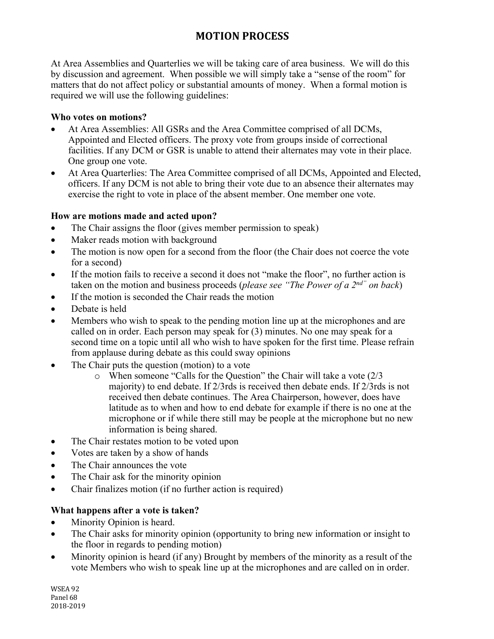# **MOTION PROCESS**

At Area Assemblies and Quarterlies we will be taking care of area business. We will do this by discussion and agreement. When possible we will simply take a "sense of the room" for matters that do not affect policy or substantial amounts of money. When a formal motion is required we will use the following guidelines:

### **Who votes on motions?**

- At Area Assemblies: All GSRs and the Area Committee comprised of all DCMs, Appointed and Elected officers. The proxy vote from groups inside of correctional facilities. If any DCM or GSR is unable to attend their alternates may vote in their place. One group one vote.
- At Area Quarterlies: The Area Committee comprised of all DCMs, Appointed and Elected, officers. If any DCM is not able to bring their vote due to an absence their alternates may exercise the right to vote in place of the absent member. One member one vote.

## **How are motions made and acted upon?**

- The Chair assigns the floor (gives member permission to speak)
- Maker reads motion with background
- The motion is now open for a second from the floor (the Chair does not coerce the vote for a second)
- If the motion fails to receive a second it does not "make the floor", no further action is taken on the motion and business proceeds (*please see "The Power of a 2nd" on back*)
- If the motion is seconded the Chair reads the motion
- Debate is held
- Members who wish to speak to the pending motion line up at the microphones and are called on in order. Each person may speak for (3) minutes. No one may speak for a second time on a topic until all who wish to have spoken for the first time. Please refrain from applause during debate as this could sway opinions
- The Chair puts the question (motion) to a vote
	- o When someone "Calls for the Question" the Chair will take a vote (2/3 majority) to end debate. If 2/3rds is received then debate ends. If 2/3rds is not received then debate continues. The Area Chairperson, however, does have latitude as to when and how to end debate for example if there is no one at the microphone or if while there still may be people at the microphone but no new information is being shared.
- The Chair restates motion to be voted upon
- Votes are taken by a show of hands
- The Chair announces the vote
- The Chair ask for the minority opinion
- Chair finalizes motion (if no further action is required)

## **What happens after a vote is taken?**

- Minority Opinion is heard.
- The Chair asks for minority opinion (opportunity to bring new information or insight to the floor in regards to pending motion)
- Minority opinion is heard (if any) Brought by members of the minority as a result of the vote Members who wish to speak line up at the microphones and are called on in order.

WSEA 92 Panel 68 2018-2019